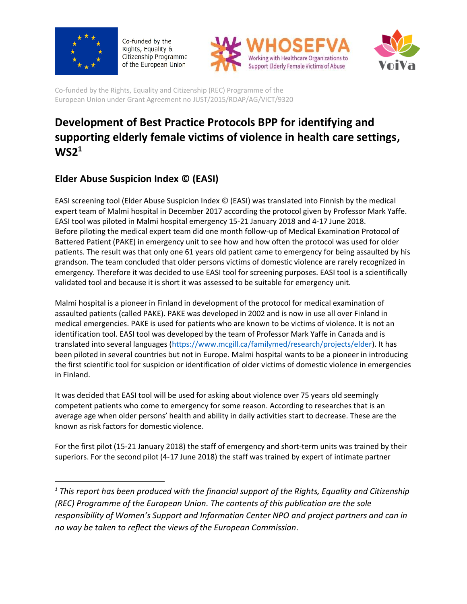

 $\overline{\phantom{a}}$ 

Co-funded by the Rights, Equality & Citizenship Programme of the European Union





Co-funded by the Rights, Equality and Citizenship (REC) Programme of the European Union under Grant Agreement no JUST/2015/RDAP/AG/VICT/9320

# **Development of Best Practice Protocols BPP for identifying and supporting elderly female victims of violence in health care settings, WS2<sup>1</sup>**

# **Elder Abuse Suspicion Index © (EASI)**

EASI screening tool (Elder Abuse Suspicion Index © (EASI) was translated into Finnish by the medical expert team of Malmi hospital in December 2017 according the protocol given by Professor Mark Yaffe. EASI tool was piloted in Malmi hospital emergency 15-21 January 2018 and 4-17 June 2018. Before piloting the medical expert team did one month follow-up of Medical Examination Protocol of Battered Patient (PAKE) in emergency unit to see how and how often the protocol was used for older patients. The result was that only one 61 years old patient came to emergency for being assaulted by his grandson. The team concluded that older persons victims of domestic violence are rarely recognized in emergency. Therefore it was decided to use EASI tool for screening purposes. EASI tool is a scientifically validated tool and because it is short it was assessed to be suitable for emergency unit.

Malmi hospital is a pioneer in Finland in development of the protocol for medical examination of assaulted patients (called PAKE). PAKE was developed in 2002 and is now in use all over Finland in medical emergencies. PAKE is used for patients who are known to be victims of violence. It is not an identification tool. EASI tool was developed by the team of Professor Mark Yaffe in Canada and is translated into several languages [\(https://www.mcgill.ca/familymed/research/projects/elder\)](https://www.mcgill.ca/familymed/research/projects/elder). It has been piloted in several countries but not in Europe. Malmi hospital wants to be a pioneer in introducing the first scientific tool for suspicion or identification of older victims of domestic violence in emergencies in Finland.

It was decided that EASI tool will be used for asking about violence over 75 years old seemingly competent patients who come to emergency for some reason. According to researches that is an average age when older persons' health and ability in daily activities start to decrease. These are the known as risk factors for domestic violence.

For the first pilot (15-21 January 2018) the staff of emergency and short-term units was trained by their superiors. For the second pilot (4-17 June 2018) the staff was trained by expert of intimate partner

*<sup>1</sup> This report has been produced with the financial support of the Rights, Equality and Citizenship (REC) Programme of the European Union. The contents of this publication are the sole responsibility of Women's Support and Information Center NPO and project partners and can in no way be taken to reflect the views of the European Commission.*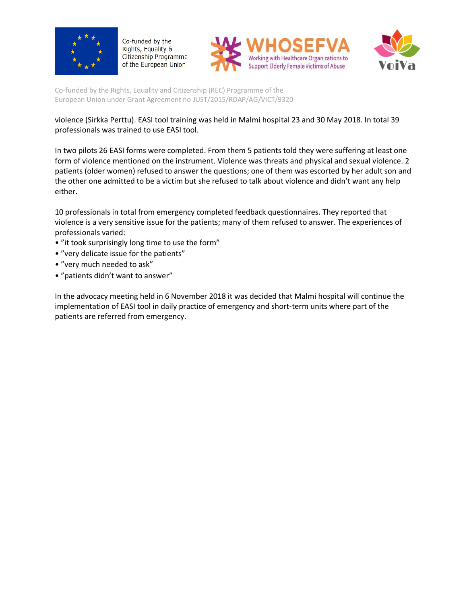





Co-funded by the Rights, Equality and Citizenship (REC) Programme of the European Union under Grant Agreement no JUST/2015/RDAP/AG/VICT/9320

violence (Sirkka Perttu). EASI tool training was held in Malmi hospital 23 and 30 May 2018. In total 39 professionals was trained to use EASI tool.

In two pilots 26 EASI forms were completed. From them 5 patients told they were suffering at least one form of violence mentioned on the instrument. Violence was threats and physical and sexual violence. 2 patients (older women) refused to answer the questions; one of them was escorted by her adult son and the other one admitted to be a victim but she refused to talk about violence and didn't want any help either.

10 professionals in total from emergency completed feedback questionnaires. They reported that violence is a very sensitive issue for the patients; many of them refused to answer. The experiences of professionals varied:

- "it took surprisingly long time to use the form"
- "very delicate issue for the patients"
- "very much needed to ask"
- "patients didn't want to answer"

In the advocacy meeting held in 6 November 2018 it was decided that Malmi hospital will continue the implementation of EASI tool in daily practice of emergency and short-term units where part of the patients are referred from emergency.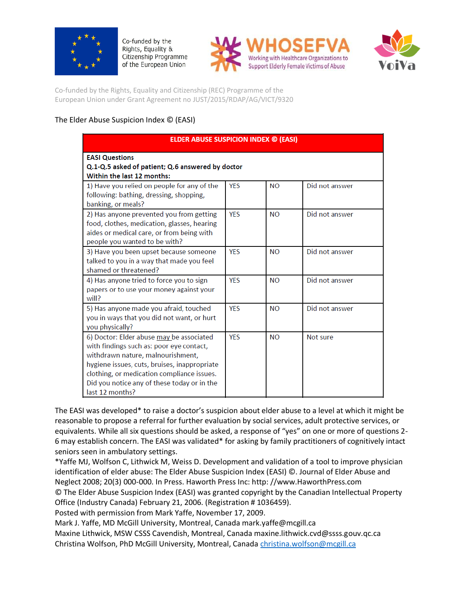





Co-funded by the Rights, Equality and Citizenship (REC) Programme of the European Union under Grant Agreement no JUST/2015/RDAP/AG/VICT/9320

#### The Elder Abuse Suspicion Index © (EASI)

| <b>ELDER ABUSE SUSPICION INDEX © (EASI)</b>                                                                                                                                                                                                                                               |            |           |                |
|-------------------------------------------------------------------------------------------------------------------------------------------------------------------------------------------------------------------------------------------------------------------------------------------|------------|-----------|----------------|
| <b>EASI Questions</b><br>Q.1-Q.5 asked of patient; Q.6 answered by doctor<br>Within the last 12 months:                                                                                                                                                                                   |            |           |                |
| 1) Have you relied on people for any of the<br>following: bathing, dressing, shopping,<br>banking, or meals?                                                                                                                                                                              | <b>YES</b> | <b>NO</b> | Did not answer |
| 2) Has anyone prevented you from getting<br>food, clothes, medication, glasses, hearing<br>aides or medical care, or from being with<br>people you wanted to be with?                                                                                                                     | <b>YES</b> | <b>NO</b> | Did not answer |
| 3) Have you been upset because someone<br>talked to you in a way that made you feel<br>shamed or threatened?                                                                                                                                                                              | <b>YES</b> | <b>NO</b> | Did not answer |
| 4) Has anyone tried to force you to sign<br>papers or to use your money against your<br>will?                                                                                                                                                                                             | <b>YES</b> | <b>NO</b> | Did not answer |
| 5) Has anyone made you afraid, touched<br>you in ways that you did not want, or hurt<br>you physically?                                                                                                                                                                                   | <b>YES</b> | <b>NO</b> | Did not answer |
| 6) Doctor: Elder abuse may be associated<br>with findings such as: poor eye contact,<br>withdrawn nature, malnourishment,<br>hygiene issues, cuts, bruises, inappropriate<br>clothing, or medication compliance issues.<br>Did you notice any of these today or in the<br>last 12 months? | <b>YES</b> | <b>NO</b> | Not sure       |

The EASI was developed\* to raise a doctor's suspicion about elder abuse to a level at which it might be reasonable to propose a referral for further evaluation by social services, adult protective services, or equivalents. While all six questions should be asked, a response of "yes" on one or more of questions 2- 6 may establish concern. The EASI was validated\* for asking by family practitioners of cognitively intact seniors seen in ambulatory settings.

\*Yaffe MJ, Wolfson C, Lithwick M, Weiss D. Development and validation of a tool to improve physician identification of elder abuse: The Elder Abuse Suspicion Index (EASI) ©. Journal of Elder Abuse and Neglect 2008; 20(3) 000-000. In Press. Haworth Press Inc: http: //www.HaworthPress.com © The Elder Abuse Suspicion Index (EASI) was granted copyright by the Canadian Intellectual Property Office (Industry Canada) February 21, 2006. (Registration # 1036459). Posted with permission from Mark Yaffe, November 17, 2009.

Mark J. Yaffe, MD McGill University, Montreal, Canada mark.yaffe@mcgill.ca

Maxine Lithwick, MSW CSSS Cavendish, Montreal, Canada maxine.lithwick.cvd@ssss.gouv.qc.ca Christina Wolfson, PhD McGill University, Montreal, Canada [christina.wolfson@mcgill.ca](mailto:christina.wolfson@mcgill.ca)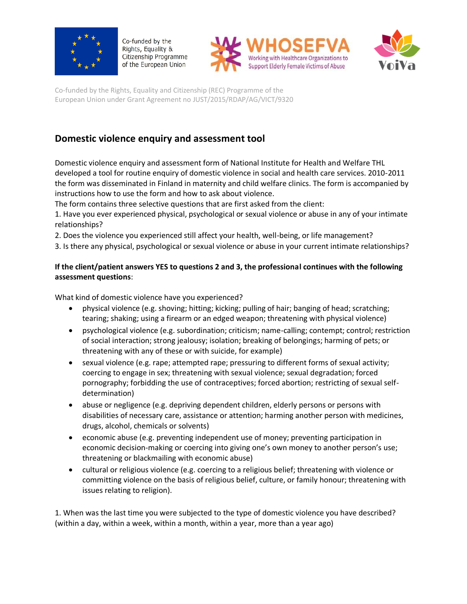





Co-funded by the Rights, Equality and Citizenship (REC) Programme of the European Union under Grant Agreement no JUST/2015/RDAP/AG/VICT/9320

# **Domestic violence enquiry and assessment tool**

Domestic violence enquiry and assessment form of National Institute for Health and Welfare THL developed a tool for routine enquiry of domestic violence in social and health care services. 2010-2011 the form was disseminated in Finland in maternity and child welfare clinics. The form is accompanied by instructions how to use the form and how to ask about violence.

The form contains three selective questions that are first asked from the client:

1. Have you ever experienced physical, psychological or sexual violence or abuse in any of your intimate relationships?

2. Does the violence you experienced still affect your health, well-being, or life management?

3. Is there any physical, psychological or sexual violence or abuse in your current intimate relationships?

#### **If the client/patient answers YES to questions 2 and 3, the professional continues with the following assessment questions**:

What kind of domestic violence have you experienced?

- physical violence (e.g. shoving; hitting; kicking; pulling of hair; banging of head; scratching; tearing; shaking; using a firearm or an edged weapon; threatening with physical violence)
- psychological violence (e.g. subordination; criticism; name-calling; contempt; control; restriction of social interaction; strong jealousy; isolation; breaking of belongings; harming of pets; or threatening with any of these or with suicide, for example)
- sexual violence (e.g. rape; attempted rape; pressuring to different forms of sexual activity; coercing to engage in sex; threatening with sexual violence; sexual degradation; forced pornography; forbidding the use of contraceptives; forced abortion; restricting of sexual selfdetermination)
- abuse or negligence (e.g. depriving dependent children, elderly persons or persons with disabilities of necessary care, assistance or attention; harming another person with medicines, drugs, alcohol, chemicals or solvents)
- economic abuse (e.g. preventing independent use of money; preventing participation in economic decision-making or coercing into giving one's own money to another person's use; threatening or blackmailing with economic abuse)
- cultural or religious violence (e.g. coercing to a religious belief; threatening with violence or committing violence on the basis of religious belief, culture, or family honour; threatening with issues relating to religion).

1. When was the last time you were subjected to the type of domestic violence you have described? (within a day, within a week, within a month, within a year, more than a year ago)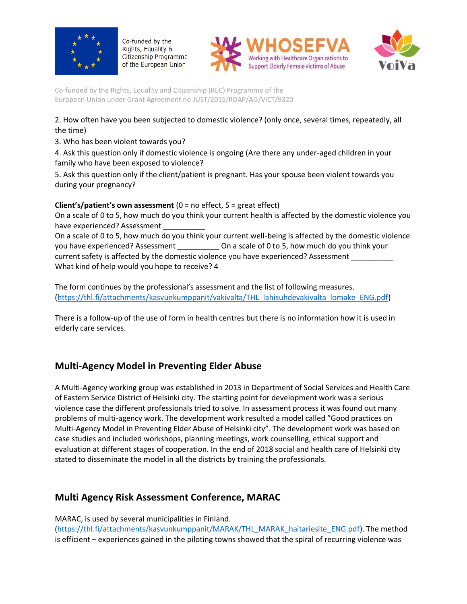





Co-funded by the Rights, Equality and Citizenship (REC) Programme of the European Union under Grant Agreement no JUST/2015/RDAP/AG/VICT/9320

2. How often have you been subjected to domestic violence? (only once, several times, repeatedly, all the time)

3. Who has been violent towards you?

4. Ask this question only if domestic violence is ongoing (Are there any under-aged children in your family who have been exposed to violence?

5. Ask this question only if the client/patient is pregnant. Has your spouse been violent towards you during your pregnancy?

#### **Client's/patient's own assessment** (0 = no effect, 5 = great effect)

On a scale of 0 to 5, how much do you think your current health is affected by the domestic violence you have experienced? Assessment

On a scale of 0 to 5, how much do you think your current well-being is affected by the domestic violence you have experienced? Assessment \_\_\_\_\_\_\_\_\_\_\_\_\_\_ On a scale of 0 to 5, how much do you think your current safety is affected by the domestic violence you have experienced? Assessment \_\_\_\_\_\_\_\_\_\_ What kind of help would you hope to receive? 4

The form continues by the professional's assessment and the list of following measures. [\(https://thl.fi/attachments/kasvunkumppanit/vakivalta/THL\\_lahisuhdevakivalta\\_lomake\\_ENG.pdf\)](https://thl.fi/attachments/kasvunkumppanit/vakivalta/THL_lahisuhdevakivalta_lomake_ENG.pdf)

There is a follow-up of the use of form in health centres but there is no information how it is used in elderly care services.

## **Multi-Agency Model in Preventing Elder Abuse**

A Multi-Agency working group was established in 2013 in Department of Social Services and Health Care of Eastern Service District of Helsinki city. The starting point for development work was a serious violence case the different professionals tried to solve. In assessment process it was found out many problems of multi-agency work. The development work resulted a model called "Good practices on Multi-Agency Model in Preventing Elder Abuse of Helsinki city". The development work was based on case studies and included workshops, planning meetings, work counselling, ethical support and evaluation at different stages of cooperation. In the end of 2018 social and health care of Helsinki city stated to disseminate the model in all the districts by training the professionals.

## **Multi Agency Risk Assessment Conference, MARAC**

MARAC, is used by several municipalities in Finland. ([https://thl.fi/attachments/kasvunkumppanit/MARAK/THL\\_MARAK\\_haitariesite\\_ENG.pdf\)](https://thl.fi/attachments/kasvunkumppanit/MARAK/THL_MARAK_haitariesite_ENG.pdf). The method is efficient – experiences gained in the piloting towns showed that the spiral of recurring violence was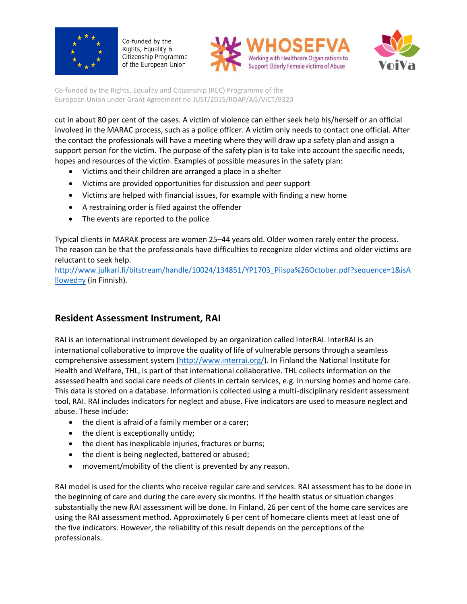





Co-funded by the Rights, Equality and Citizenship (REC) Programme of the European Union under Grant Agreement no JUST/2015/RDAP/AG/VICT/9320

cut in about 80 per cent of the cases. A victim of violence can either seek help his/herself or an official involved in the MARAC process, such as a police officer. A victim only needs to contact one official. After the contact the professionals will have a meeting where they will draw up a safety plan and assign a support person for the victim. The purpose of the safety plan is to take into account the specific needs, hopes and resources of the victim. Examples of possible measures in the safety plan:

- Victims and their children are arranged a place in a shelter
- Victims are provided opportunities for discussion and peer support
- Victims are helped with financial issues, for example with finding a new home
- A restraining order is filed against the offender
- The events are reported to the police

Typical clients in MARAK process are women 25–44 years old. Older women rarely enter the process. The reason can be that the professionals have difficulties to recognize older victims and older victims are reluctant to seek help.

[http://www.julkari.fi/bitstream/handle/10024/134851/YP1703\\_Piispa%26October.pdf?sequence=1&isA](http://www.julkari.fi/bitstream/handle/10024/134851/YP1703_Piispa%26October.pdf?sequence=1&isAllowed=y%20) [llowed=y](http://www.julkari.fi/bitstream/handle/10024/134851/YP1703_Piispa%26October.pdf?sequence=1&isAllowed=y%20) (in Finnish).

### **Resident Assessment Instrument, RAI**

RAI is an international instrument developed by an organization called InterRAI. InterRAI is an international collaborative to improve the quality of life of vulnerable persons through a seamless comprehensive assessment system [\(http://www.interrai.org/\)](http://www.interrai.org/). In Finland the National Institute for Health and Welfare, THL, is part of that international collaborative. THL collects information on the assessed health and social care needs of clients in certain services, e.g. in nursing homes and home care. This data is stored on a database. Information is collected using a multi-disciplinary resident assessment tool, RAI. RAI includes indicators for neglect and abuse. Five indicators are used to measure neglect and abuse. These include:

- the client is afraid of a family member or a carer;
- $\bullet$  the client is exceptionally untidy;
- the client has inexplicable injuries, fractures or burns;
- the client is being neglected, battered or abused;
- movement/mobility of the client is prevented by any reason.

RAI model is used for the clients who receive regular care and services. RAI assessment has to be done in the beginning of care and during the care every six months. If the health status or situation changes substantially the new RAI assessment will be done. In Finland, 26 per cent of the home care services are using the RAI assessment method. Approximately 6 per cent of homecare clients meet at least one of the five indicators. However, the reliability of this result depends on the perceptions of the professionals.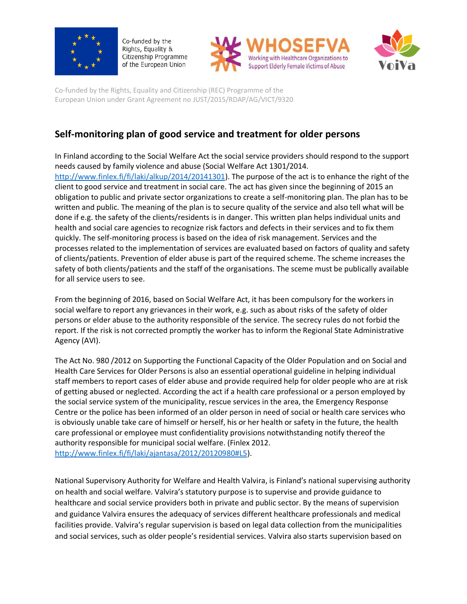





Co-funded by the Rights, Equality and Citizenship (REC) Programme of the European Union under Grant Agreement no JUST/2015/RDAP/AG/VICT/9320

# **Self-monitoring plan of good service and treatment for older persons**

In Finland according to the Social Welfare Act the social service providers should respond to the support needs caused by family violence and abuse (Social Welfare Act 1301/2014. [http://www.finlex.fi/fi/laki/alkup/2014/20141301\)](http://www.finlex.fi/fi/laki/alkup/2014/20141301). The purpose of the act is to enhance the right of the client to good service and treatment in social care. The act has given since the beginning of 2015 an obligation to public and private sector organizations to create a self-monitoring plan. The plan has to be written and public. The meaning of the plan is to secure quality of the service and also tell what will be done if e.g. the safety of the clients/residents is in danger. This written plan helps individual units and health and social care agencies to recognize risk factors and defects in their services and to fix them quickly. The self-monitoring process is based on the idea of risk management. Services and the processes related to the implementation of services are evaluated based on factors of quality and safety of clients/patients. Prevention of elder abuse is part of the required scheme. The scheme increases the safety of both clients/patients and the staff of the organisations. The sceme must be publically available for all service users to see.

From the beginning of 2016, based on Social Welfare Act, it has been compulsory for the workers in social welfare to report any grievances in their work, e.g. such as about risks of the safety of older persons or elder abuse to the authority responsible of the service. The secrecy rules do not forbid the report. If the risk is not corrected promptly the worker has to inform the Regional State Administrative Agency (AVI).

The Act No. 980 /2012 on Supporting the Functional Capacity of the Older Population and on Social and Health Care Services for Older Persons is also an essential operational guideline in helping individual staff members to report cases of elder abuse and provide required help for older people who are at risk of getting abused or neglected. According the act if a health care professional or a person employed by the social service system of the municipality, rescue services in the area, the Emergency Response Centre or the police has been informed of an older person in need of social or health care services who is obviously unable take care of himself or herself, his or her health or safety in the future, the health care professional or employee must confidentiality provisions notwithstanding notify thereof the authority responsible for municipal social welfare. (Finlex 2012. [http://www.finlex.fi/fi/laki/ajantasa/2012/20120980#L5\)](http://www.finlex.fi/fi/laki/ajantasa/2012/20120980%23L5).

National Supervisory Authority for Welfare and Health Valvira, is Finland's national supervising authority on health and social welfare. Valvira's statutory purpose is to supervise and provide guidance to healthcare and social service providers both in private and public sector. By the means of supervision and guidance Valvira ensures the adequacy of services different healthcare professionals and medical facilities provide. Valvira's regular supervision is based on legal data collection from the municipalities and social services, such as older people's residential services. Valvira also starts supervision based on